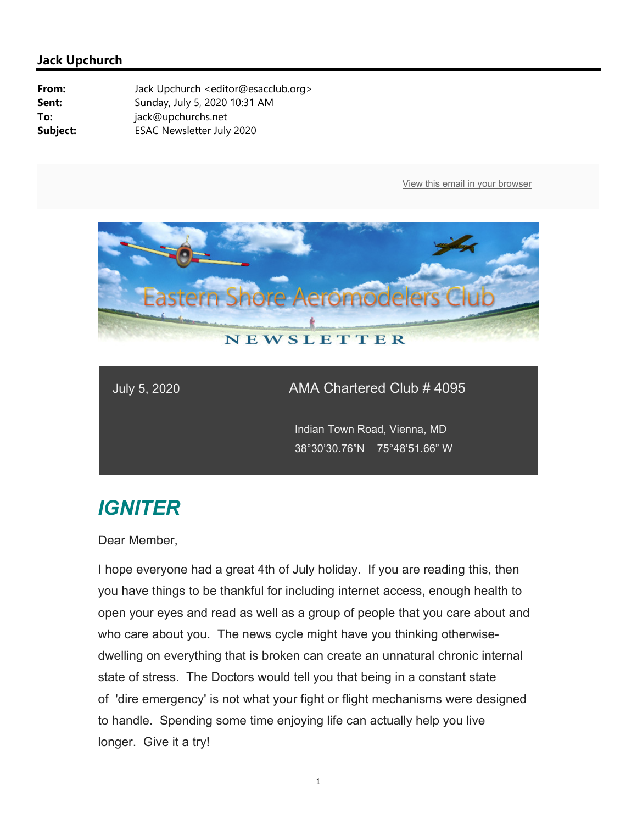

### July 5, 2020 AMA Chartered Club # 4095

 Indian Town Road, Vienna, MD 38°30'30.76"N 75°48'51.66" W

# *IGNITER*

Dear Member,

I hope everyone had a great 4th of July holiday. If you are reading this, then you have things to be thankful for including internet access, enough health to open your eyes and read as well as a group of people that you care about and who care about you. The news cycle might have you thinking otherwisedwelling on everything that is broken can create an unnatural chronic internal state of stress. The Doctors would tell you that being in a constant state of 'dire emergency' is not what your fight or flight mechanisms were designed to handle. Spending some time enjoying life can actually help you live longer. Give it a try!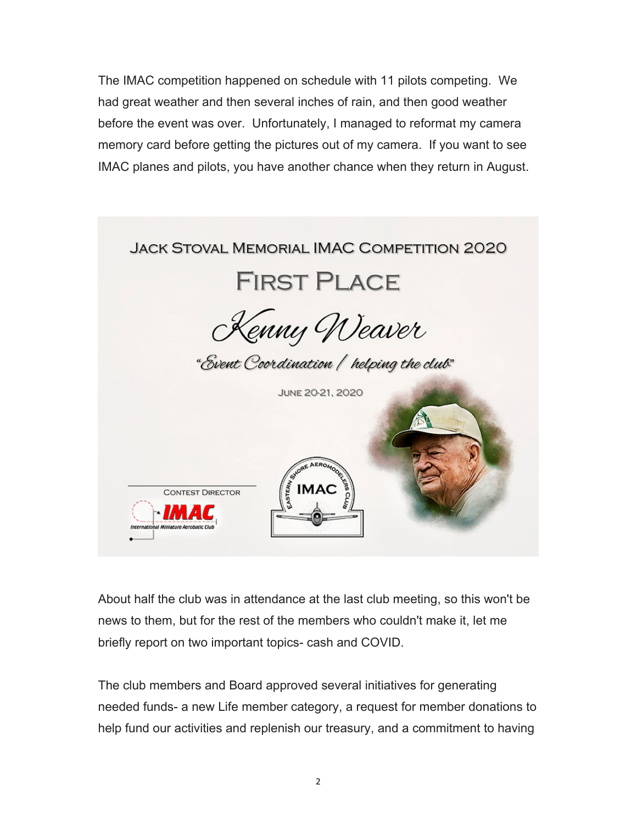The IMAC competition happened on schedule with 11 pilots competing. We had great weather and then several inches of rain, and then good weather before the event was over. Unfortunately, I managed to reformat my camera memory card before getting the pictures out of my camera. If you want to see IMAC planes and pilots, you have another chance when they return in August.



About half the club was in attendance at the last club meeting, so this won't be news to them, but for the rest of the members who couldn't make it, let me briefly report on two important topics- cash and COVID.

The club members and Board approved several initiatives for generating needed funds- a new Life member category, a request for member donations to help fund our activities and replenish our treasury, and a commitment to having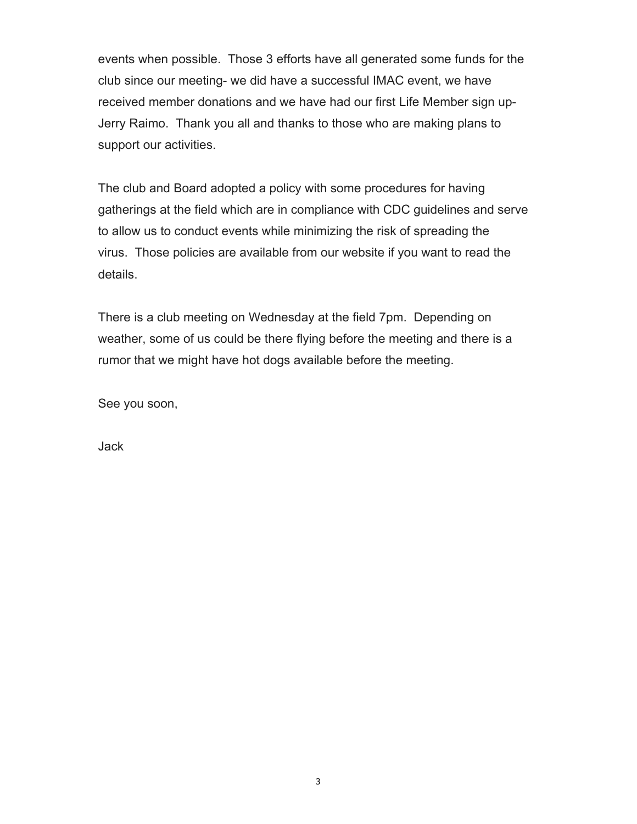events when possible. Those 3 efforts have all generated some funds for the club since our meeting- we did have a successful IMAC event, we have received member donations and we have had our first Life Member sign up-Jerry Raimo. Thank you all and thanks to those who are making plans to support our activities.

The club and Board adopted a policy with some procedures for having gatherings at the field which are in compliance with CDC guidelines and serve to allow us to conduct events while minimizing the risk of spreading the virus. Those policies are available from our website if you want to read the details.

There is a club meeting on Wednesday at the field 7pm. Depending on weather, some of us could be there flying before the meeting and there is a rumor that we might have hot dogs available before the meeting.

See you soon,

Jack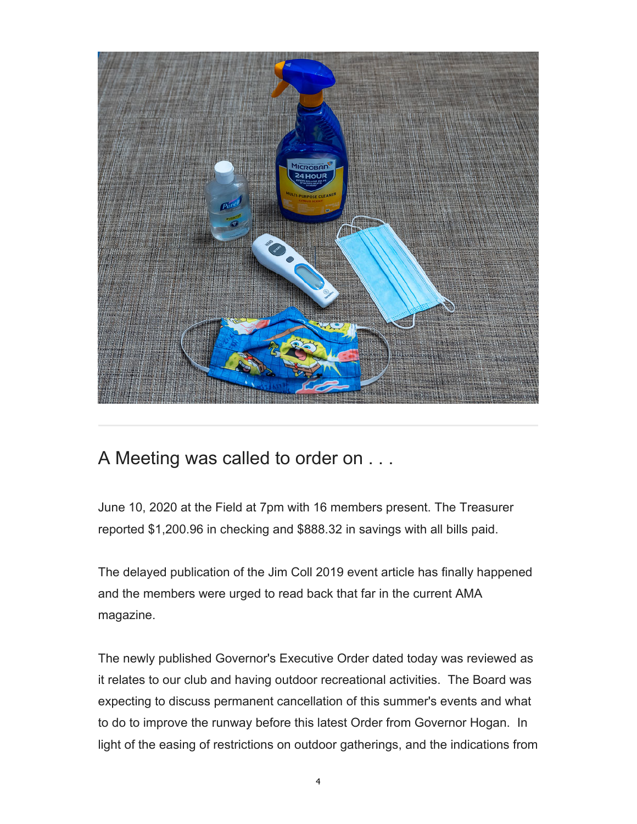

### A Meeting was called to order on . . .

June 10, 2020 at the Field at 7pm with 16 members present. The Treasurer reported \$1,200.96 in checking and \$888.32 in savings with all bills paid.

The delayed publication of the Jim Coll 2019 event article has finally happened and the members were urged to read back that far in the current AMA magazine.

The newly published Governor's Executive Order dated today was reviewed as it relates to our club and having outdoor recreational activities. The Board was expecting to discuss permanent cancellation of this summer's events and what to do to improve the runway before this latest Order from Governor Hogan. In light of the easing of restrictions on outdoor gatherings, and the indications from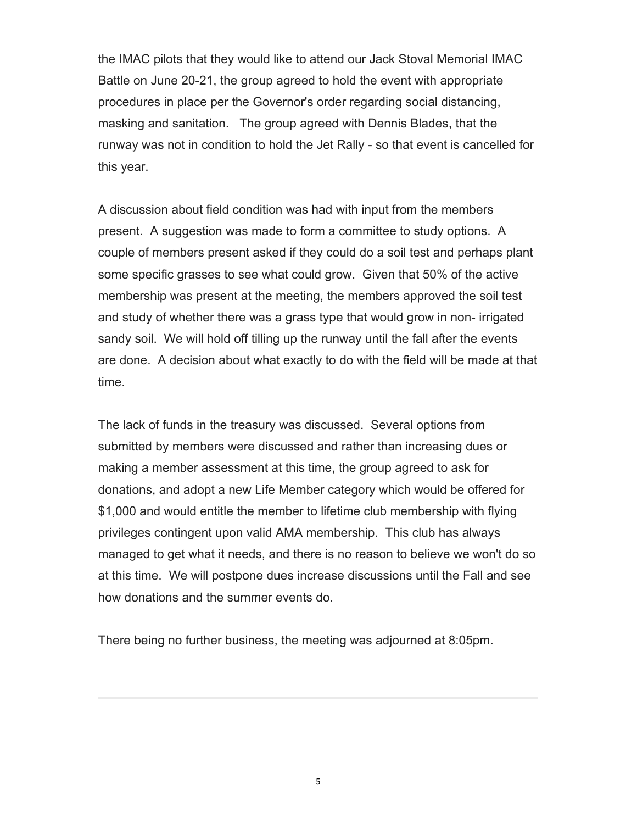the IMAC pilots that they would like to attend our Jack Stoval Memorial IMAC Battle on June 20-21, the group agreed to hold the event with appropriate procedures in place per the Governor's order regarding social distancing, masking and sanitation. The group agreed with Dennis Blades, that the runway was not in condition to hold the Jet Rally - so that event is cancelled for this year.

A discussion about field condition was had with input from the members present. A suggestion was made to form a committee to study options. A couple of members present asked if they could do a soil test and perhaps plant some specific grasses to see what could grow. Given that 50% of the active membership was present at the meeting, the members approved the soil test and study of whether there was a grass type that would grow in non- irrigated sandy soil. We will hold off tilling up the runway until the fall after the events are done. A decision about what exactly to do with the field will be made at that time.

The lack of funds in the treasury was discussed. Several options from submitted by members were discussed and rather than increasing dues or making a member assessment at this time, the group agreed to ask for donations, and adopt a new Life Member category which would be offered for \$1,000 and would entitle the member to lifetime club membership with flying privileges contingent upon valid AMA membership. This club has always managed to get what it needs, and there is no reason to believe we won't do so at this time. We will postpone dues increase discussions until the Fall and see how donations and the summer events do.

There being no further business, the meeting was adjourned at 8:05pm.

5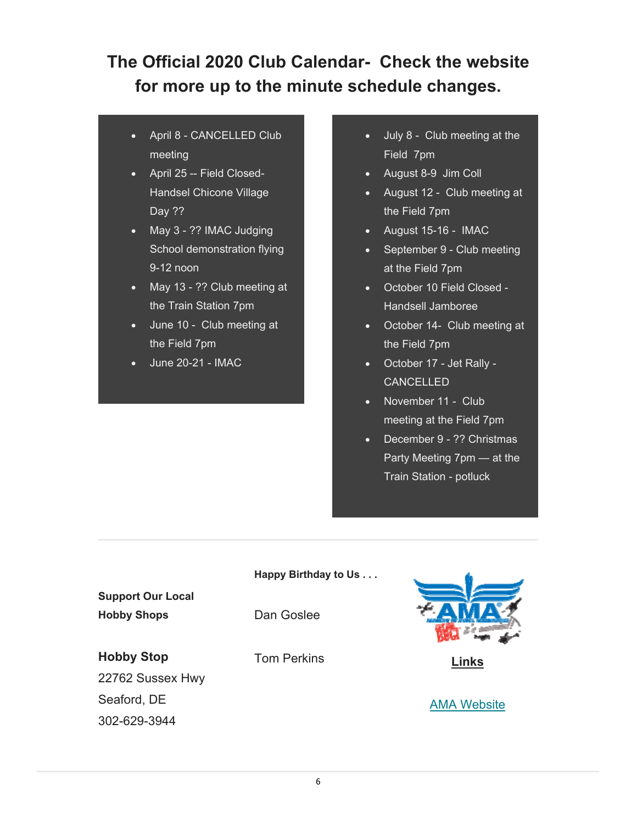## **The Official 2020 Club Calendar- Check the website for more up to the minute schedule changes.**

- April 8 CANCELLED Club meeting
- April 25 -- Field Closed-Handsel Chicone Village Day ??
- May 3 ?? IMAC Judging School demonstration flying 9-12 noon
- May 13 ?? Club meeting at the Train Station 7pm
- June 10 Club meeting at the Field 7pm
- June 20-21 IMAC
- July 8 Club meeting at the Field 7pm
- August 8-9 Jim Coll
- August 12 Club meeting at the Field 7pm
- August 15-16 IMAC
- September 9 Club meeting at the Field 7pm
- October 10 Field Closed Handsell Jamboree
- October 14- Club meeting at the Field 7pm
- October 17 Jet Rally **CANCELLED**
- November 11 Club meeting at the Field 7pm
- December 9 ?? Christmas Party Meeting 7pm — at the Train Station - potluck

### **Happy Birthday to Us . . .**

**Support Our Local Hobby Shops**

Dan Goslee

**Hobby Stop**

22762 Sussex Hwy Seaford, DE 302-629-3944





**Links** 

**AMA Website**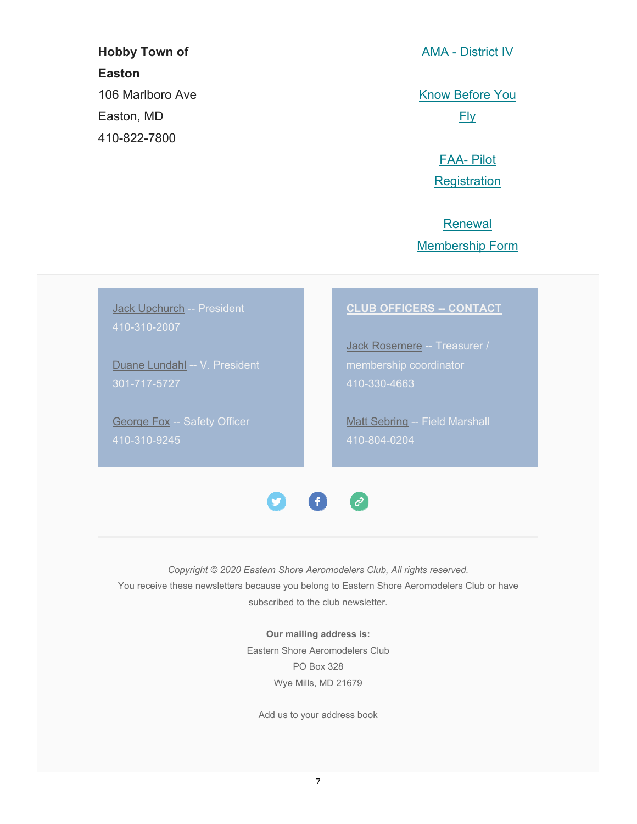## **Hobby Town of Easton** 106 Marlboro Ave Easton, MD 410-822-7800

AMA - District IV

Know Before You Fly

> FAA- Pilot **Registration**

Renewal Membership Form

Jack Upchurch -- President 410-310-2007

Duane Lundahl -- V. President

**George Fox -- Safety Officer** 410-310-9245

#### **CLUB OFFICERS -- CONTACT**

Jack Rosemere -- Treasurer / 410-330-4663

Matt Sebring -- Field Marshall 410-804-0204



*Copyright © 2020 Eastern Shore Aeromodelers Club, All rights reserved.* You receive these newsletters because you belong to Eastern Shore Aeromodelers Club or have subscribed to the club newsletter.

> **Our mailing address is:** Eastern Shore Aeromodelers Club PO Box 328 Wye Mills, MD 21679

Add us to your address book